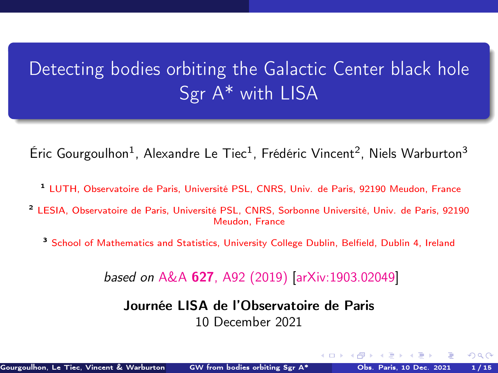# <span id="page-0-0"></span>Detecting bodies orbiting the Galactic Center black hole Sgr A\* with LISA

Éric Gourgoulhon<sup>1</sup>, Alexandre Le Tiec<sup>1</sup>, Frédéric Vincent<sup>2</sup>, Niels Warburton<sup>3</sup>

- <sup>1</sup> [LUTH, Observatoire de Paris, Université PSL, CNRS, Univ. de Paris, 92190 Meudon, France](https://luth.obspm.fr)
- <sup>2</sup> [LESIA, Observatoire de Paris, Université PSL, CNRS, Sorbonne Université, Univ. de Paris, 92190](https://lesia.obspm.fr) [Meudon, France](https://lesia.obspm.fr)
	- <sup>3</sup> [School of Mathematics and Statistics, University College Dublin, Belfield, Dublin 4, Ireland](http://www.ucd.ie/)

based on A&A 627[, A92 \(2019\)](https://doi.org/10.1051/0004-6361/201935406) [\[arXiv:1903.02049\]](https://arxiv.org/abs/1903.02049)

Journée LISA de l'Observatoire de Paris 10 December 2021

 $\Omega$ 

**← ロ ▶ → イ 同 →**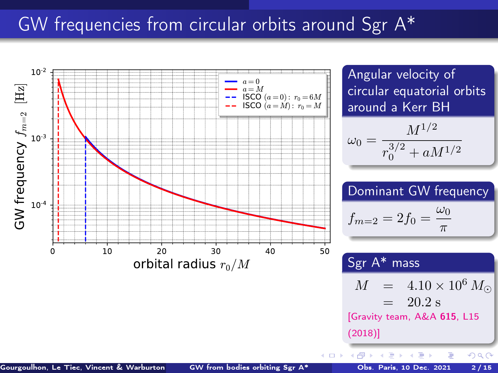### GW frequencies from circular orbits around Sgr A\*

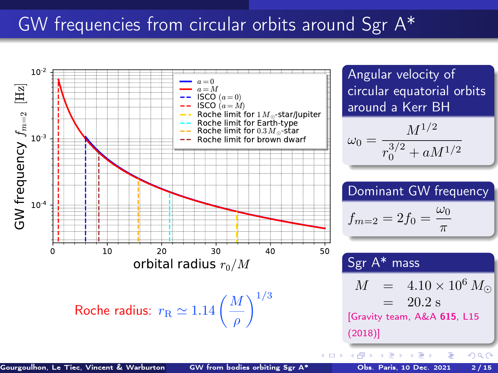### <span id="page-2-0"></span>GW frequencies from circular orbits around Sgr A\*

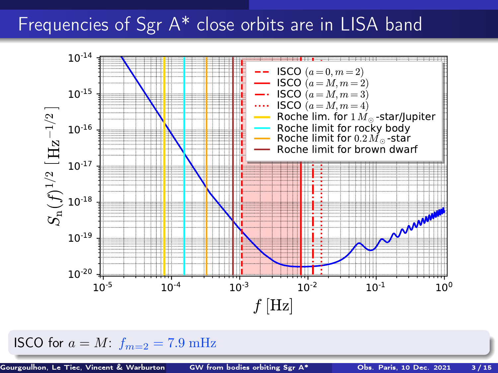### <span id="page-3-0"></span>Frequencies of Sgr A\* close orbits are in LISA band



ISCO for  $a = M$ :  $f_{m=2} = 7.9$  mHz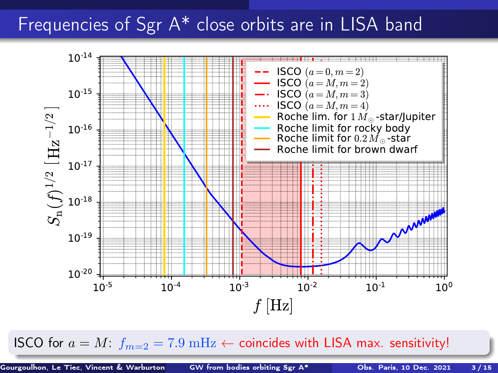## <span id="page-4-0"></span>Frequencies of Sgr A<sup>\*</sup> close orbits are in LISA band



ISCO for  $a = M$  $a = M$ :  $f_{m=2} = 7.9 \text{ mHz} \leftarrow$  $f_{m=2} = 7.9 \text{ mHz} \leftarrow$  $f_{m=2} = 7.9 \text{ mHz} \leftarrow$  coincides wit[h L](#page-3-0)I[SA](#page-5-0) ma[x.](#page-0-0) [sen](#page-22-0)[sit](#page-0-0)[ivi](#page-22-0)[ty!](#page-0-0)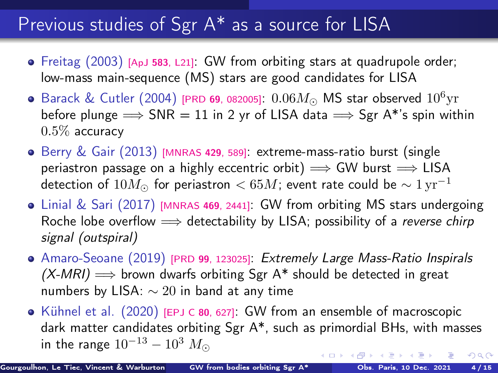### <span id="page-5-0"></span>Previous studies of Sgr A\* as a source for LISA

- Freitag (2003) [ApJ 583[, L21\]](https://doi.org/10.1086/367813): GW from orbiting stars at quadrupole order; low-mass main-sequence (MS) stars are good candidates for LISA
- Barack & Cutler (2004) [PRD 69[, 082005\]](https://doi.org/10.1103/PhysRevD.69.082005):  $0.06M_{\odot}$  MS star observed  $10^6{\rm yr}$ before plunge  $\Rightarrow$  SNR = 11 in 2 yr of LISA data  $\Rightarrow$  Sgr A\*'s spin within  $0.5\%$  accuracy
- $\bullet$  Berry & Gair (2013) [\[MNRAS](https://doi.org/10.1093/mnras/sts360) 429, 589]: extreme-mass-ratio burst (single periastron passage on a highly eccentric orbit)  $\implies$  GW burst  $\implies$  LISA detection of  $10M_{\odot}$  for periastron < 65M; event rate could be  $\sim 1 \,\rm yr^{-1}$
- Linial & Sari (2017) [\[MNRAS](https://doi.org/10.1093/mnras/stx1041) 469, 2441]: GW from orbiting MS stars undergoing Roche lobe overflow  $\implies$  detectability by LISA; possibility of a reverse chirp signal (outspiral)
- Amaro-Seoane (2019) [PRD 99[, 123025\]](https://doi.org/10.1103/PhysRevD.99.123025): Extremely Large Mass-Ratio Inspirals  $(X-MRI) \implies$  brown dwarfs orbiting Sgr A\* should be detected in great numbers by LISA: ∼ 20 in band at any time
- Kühnel et al. (2020) [\[EPJ C](https://doi.org/10.1140/epjc/s10052-020-8183-4) 80, 627]: GW from an ensemble of macroscopic dark matter candidates orbiting Sgr A\*, such as primordial BHs, with masses in the range  $10^{-13} - 10^3$   $M_{\odot}$ **← ロ ▶ → イ 同 →**  $\Omega$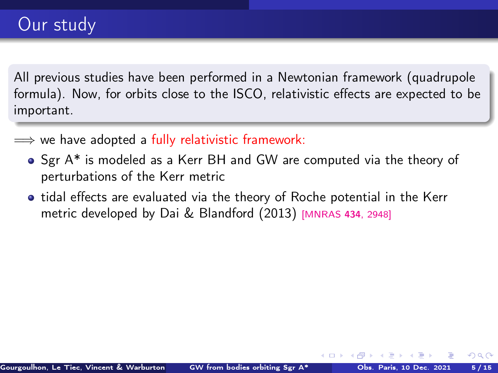All previous studies have been performed in a Newtonian framework (quadrupole formula). Now, for orbits close to the ISCO, relativistic effects are expected to be important.

- $\implies$  we have adopted a fully relativistic framework:
	- Sgr A\* is modeled as a Kerr BH and GW are computed via the theory of perturbations of the Kerr metric
	- **•** tidal effects are evaluated via the theory of Roche potential in the Kerr metric developed by Dai & Blandford (2013) [\[MNRAS](https://doi.org/10.1093/mnras/stt1209) <sup>434</sup>, 2948]

4.000.4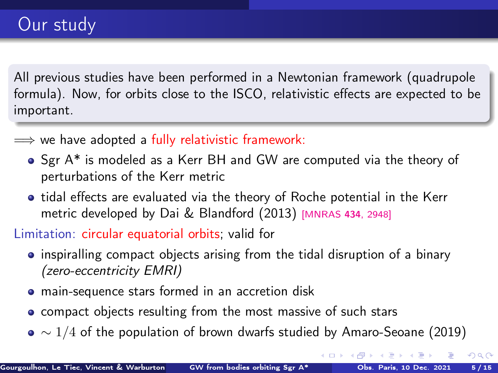All previous studies have been performed in a Newtonian framework (quadrupole formula). Now, for orbits close to the ISCO, relativistic effects are expected to be important.

- $\implies$  we have adopted a fully relativistic framework:
	- Sgr A\* is modeled as a Kerr BH and GW are computed via the theory of perturbations of the Kerr metric
	- tidal effects are evaluated via the theory of Roche potential in the Kerr metric developed by Dai & Blandford (2013) [\[MNRAS](https://doi.org/10.1093/mnras/stt1209) <sup>434</sup>, 2948]

Limitation: circular equatorial orbits; valid for

- inspiralling compact objects arising from the tidal disruption of a binary (zero-eccentricity EMRI)
- main-sequence stars formed in an accretion disk
- compact objects resulting from the most massive of such stars
- $\bullet \sim 1/4$  of the population of brown dwarfs studied by Amaro-Seoane (2019)

 $\Omega$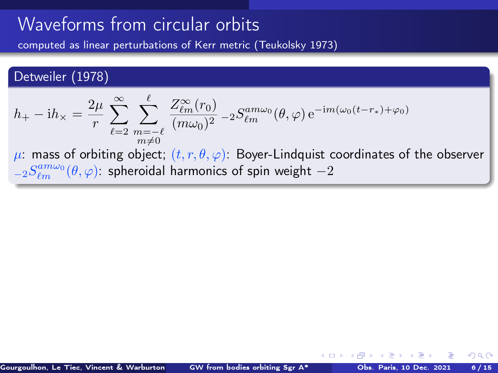<span id="page-8-0"></span>computed as linear perturbations of Kerr metric (Teukolsky 1973)

#### Detweiler (1978)

$$
h_{+} - ih_{\times} = \frac{2\mu}{r} \sum_{\ell=2}^{\infty} \sum_{\substack{m=-\ell \\ m \neq 0}}^{\ell} \frac{Z_{\ell m}^{\infty}(r_0)}{(m\omega_0)^2} - 2S_{\ell m}^{am\omega_0}(\theta, \varphi) e^{-im(\omega_0(t-r_*)+\varphi_0)}
$$

 $\mu$ : mass of orbiting object;  $(t, r, \theta, \varphi)$ : Boyer-Lindquist coordinates of the observer  ${}_{-2}S_{\ell m}^{am\omega_{0}}(\theta,\varphi)$ : spheroidal harmonics of spin weight  $-2$ 

 $\leftarrow$   $\Box$   $\rightarrow$   $\rightarrow$   $\Box$   $\rightarrow$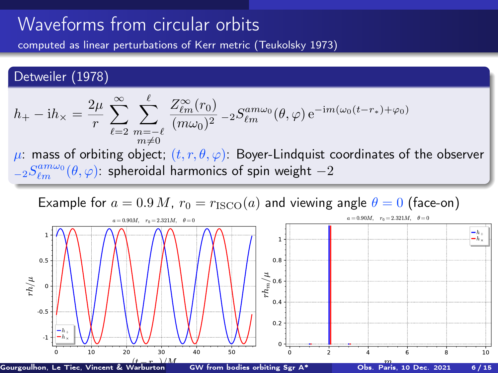<span id="page-9-0"></span>computed as linear perturbations of Kerr metric (Teukolsky 1973)

#### Detweiler (1978)

$$
h_+ - \mathrm{i} h_\times = \frac{2\mu}{r} \sum_{\ell=2}^\infty \sum_{\substack{m=-\ell\\ m\neq 0}}^\ell \frac{Z_{\ell m}^\infty(r_0)}{(m\omega_0)^2} - 2S_{\ell m}^{am\omega_0}(\theta,\varphi) e^{-\mathrm{i} m(\omega_0(t-r_*)+\varphi_0)}
$$

 $\mu$ : mass of orbiting object;  $(t, r, \theta, \varphi)$ : Boyer-Lindquist coordinates of the observer  ${}_{-2}S_{\ell m}^{am\omega_{0}}(\theta,\varphi)$ : spheroidal harmonics of spin weight  $-2$ 



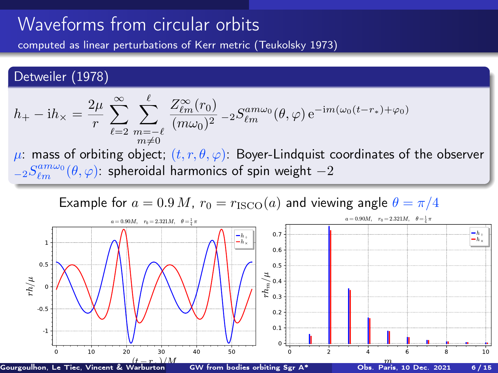computed as linear perturbations of Kerr metric (Teukolsky 1973)

#### Detweiler (1978)

$$
h_+ - \mathrm{i} h_\times = \frac{2\mu}{r} \sum_{\ell=2}^\infty \sum_{\substack{m=-\ell\\ m\neq 0}}^\ell \frac{Z_{\ell m}^\infty(r_0)}{(m\omega_0)^2} - 2S_{\ell m}^{am\omega_0}(\theta,\varphi) e^{-\mathrm{i} m(\omega_0(t-r_*)+\varphi_0)}
$$

 $\mu$ : mass of orbiting object;  $(t, r, \theta, \varphi)$ : Boyer-Lindquist coordinates of the observer  ${}_{-2}S_{\ell m}^{am\omega_{0}}(\theta,\varphi)$ : spheroidal harmonics of spin weight  $-2$ 

Example for  $a = 0.9 M$ ,  $r_0 = r_{\text{ISCO}}(a)$  and viewing angle  $\theta = \pi/4$ 

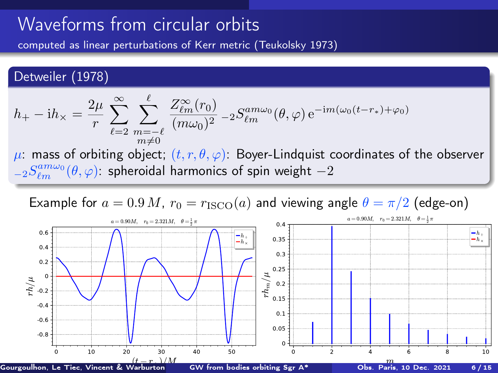<span id="page-11-0"></span>computed as linear perturbations of Kerr metric (Teukolsky 1973)

#### Detweiler (1978)

$$
h_+ - \mathrm{i} h_\times = \frac{2\mu}{r} \sum_{\ell=2}^\infty \sum_{\substack{m=-\ell\\ m\neq 0}}^\ell \frac{Z_{\ell m}^\infty(r_0)}{(m\omega_0)^2} - 2S_{\ell m}^{am\omega_0}(\theta,\varphi) e^{-\mathrm{i} m(\omega_0(t-r_*)+\varphi_0)}
$$

 $\mu$ : mass of orbiting object;  $(t, r, \theta, \varphi)$ : Boyer-Lindquist coordinates of the observer  ${}_{-2}S_{\ell m}^{am\omega_{0}}(\theta,\varphi)$ : spheroidal harmonics of spin weight  $-2$ 



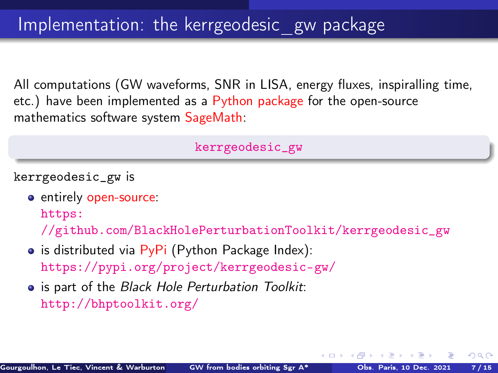<span id="page-12-0"></span>All computations (GW waveforms, SNR in LISA, energy fluxes, inspiralling time, etc.) have been implemented as a Python package for the open-source mathematics software system SageMath:

[kerrgeodesic\\_gw](https://pypi.org/project/kerrgeodesic-gw/)

kerrgeodesic\_gw is

entirely open-source:

[https:](https://github.com/BlackHolePerturbationToolkit/kerrgeodesic_gw)

[//github.com/BlackHolePerturbationToolkit/kerrgeodesic\\_gw](https://github.com/BlackHolePerturbationToolkit/kerrgeodesic_gw)

- $\bullet$  is distributed via PyPi (Python Package Index): <https://pypi.org/project/kerrgeodesic-gw/>
- is part of the Black Hole Perturbation Toolkit: <http://bhptoolkit.org/>

 $\Omega$ 

 $\left\{ \begin{array}{ccc} \square & \rightarrow & \left\{ \bigcap \mathbb{R} \right. \right\} & \left\{ \begin{array}{ccc} \bot & \bot & \bot \\ \bot & \bot & \bot \end{array} \right. \end{array}$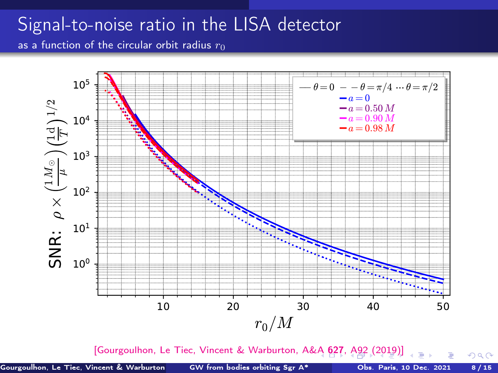### <span id="page-13-0"></span>Signal-to-noise ratio in the LISA detector as a function of the circular orbit radius  $r_0$

10 20 30 40 50  $r_0/M$  $10^0$  $10<sup>1</sup>$ 10 2  $10<sup>3</sup>$  $10<sup>4</sup>$  $10<sup>5</sup>$ —<br>ທ  $\mathsf{R}$ :  $\rho$  $\times$  $\bigoplus_{i=1}^{\infty} \mathbb{I}^i$ ´  $\widehat{\Xi}^{\textrm{F}}$  $\frown$  $\frac{2}{1}$  $\theta = 0 - \theta = \pi/4 \cdots \theta = \pi/2$  $a = 0$ <br> $a = 0.50 M$  $-a = 0.90 M$  $-a = 0.98 M$ 

[\[Gourgoulhon, Le Tiec, Vincent & Warburton, A&A](https://doi.org/10.1051/0004-6361/201935406) 6[27](#page-14-0), [A](#page-12-0)[9](#page-13-0)[2](#page-14-0) [\(](#page-15-0)[201](#page-0-0)[9\)\]](#page-22-0)

 $299$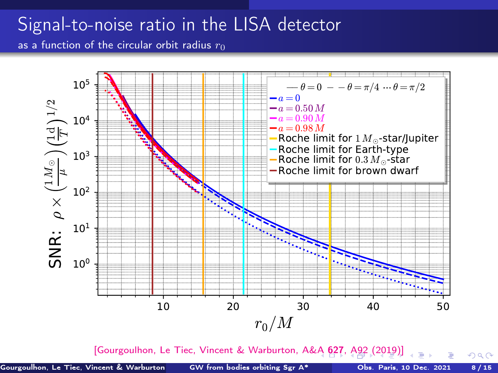# <span id="page-14-0"></span>Signal-to-noise ratio in the LISA detector

as a function of the circular orbit radius  $r_0$ 



[\[Gourgoulhon, Le Tiec, Vincent & Warburton, A&A](https://doi.org/10.1051/0004-6361/201935406) 6[27](#page-15-0), [A](#page-12-0)[9](#page-13-0)[2](#page-14-0) [\(](#page-15-0)[201](#page-0-0)[9\)\]](#page-22-0)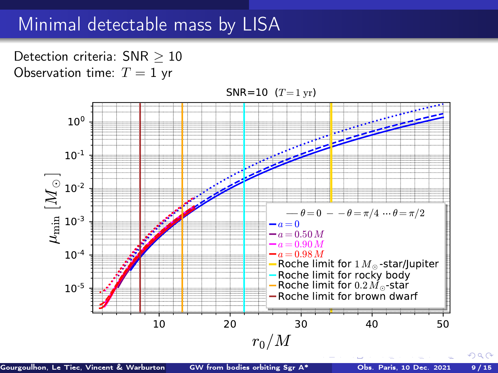### <span id="page-15-0"></span>Minimal detectable mass by LISA

Detection criteria: SNR > 10 Observation time:  $T = 1$  yr



Gourgoulhon, Le Tiec, Vincent & Warburton ([GW from bodies orbiting Sgr A\\*](#page-0-0) Obs. Paris, 10 Dec. 2021 9/15

つへい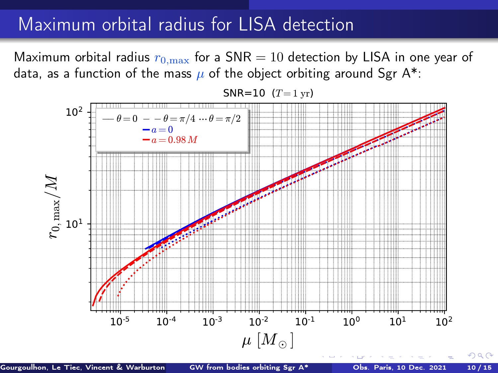### Maximum orbital radius for LISA detection

Maximum orbital radius  $r_{0,\text{max}}$  for a SNR = 10 detection by LISA in one year of data, as a function of the mass  $\mu$  of the object orbiting around Sgr A\*:



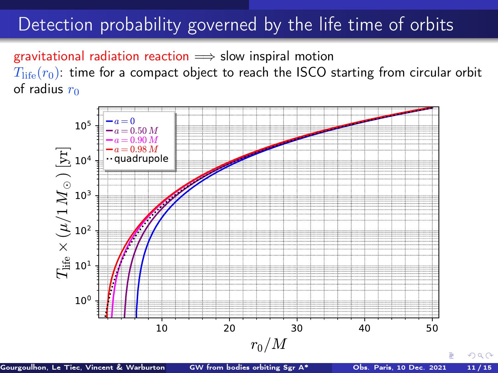### Detection probability governed by the life time of orbits

gravitational radiation reaction  $\implies$  slow inspiral motion  $T_{\text{life}}(r_0)$ : time for a compact object to reach the ISCO starting from circular orbit of radius  $r_0$ 



Gourgoulhon, Le Tiec, Vincent & Warburton ([GW from bodies orbiting Sgr A\\*](#page-0-0) Obs. Paris, 10 Dec. 2021 11/15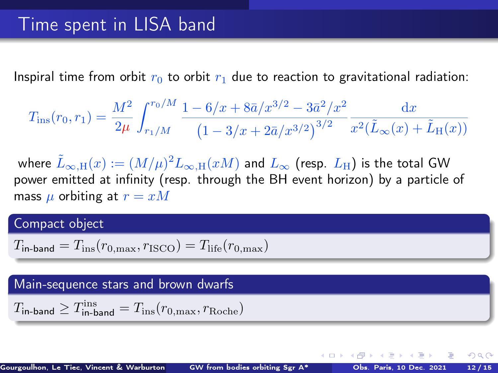Inspiral time from orbit  $r_0$  to orbit  $r_1$  due to reaction to gravitational radiation:

$$
T_{\rm ins}(r_0,r_1) = \frac{M^2}{2\mu} \int_{r_1/M}^{r_0/M} \frac{1 - 6/x + 8\bar{a}/x^{3/2} - 3\bar{a}^2/x^2}{\left(1 - 3/x + 2\bar{a}/x^{3/2}\right)^{3/2}} \frac{\mathrm{d}x}{x^2(\tilde{L}_{\infty}(x) + \tilde{L}_{\rm H}(x))}
$$

where  $\tilde L_{\infty,\mathrm{H}}(x):=(M/\mu)^2 L_{\infty,\mathrm{H}}(xM)$  and  $L_\infty$  (resp.  $L_\mathrm{H}$ ) is the total GW power emitted at infinity (resp. through the BH event horizon) by a particle of mass  $\mu$  orbiting at  $r = xM$ 

#### Compact object

$$
T_{\text{in-band}} = T_{\text{ins}}(r_{0,\text{max}}, r_{\text{ISCO}}) = T_{\text{life}}(r_{0,\text{max}})
$$

#### Main-sequence stars and brown dwarfs

$$
T_{\rm in-band} \geq T_{\rm in-band}^{\rm ins} = T_{\rm ins}(r_{0,{\rm max}},r_{\rm Roche})
$$

 $\Omega$ 

 $\left\{ \begin{array}{ccc} \square & \rightarrow & \left\{ \bigcap \mathbb{R} \right\} & \leftarrow \mathbb{R} \end{array} \right. \right\}$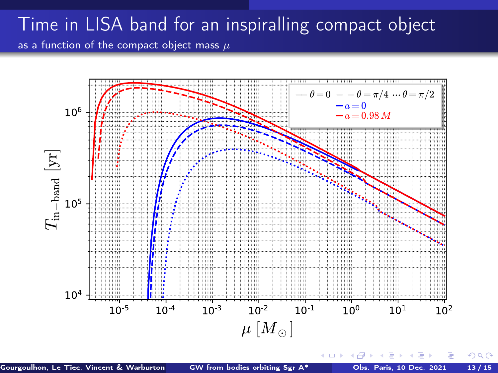### Time in LISA band for an inspiralling compact object as a function of the compact object mass  $\mu$

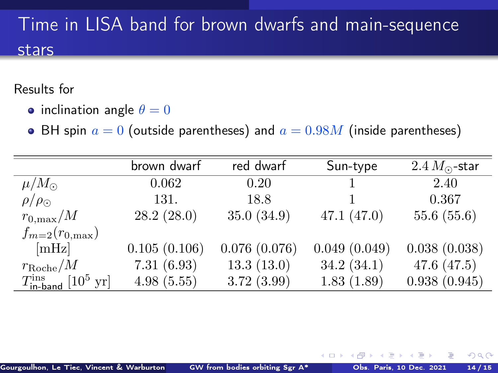# Time in LISA band for brown dwarfs and main-sequence stars

#### Results for

- inclination angle  $\theta = 0$
- BH spin  $a = 0$  (outside parentheses) and  $a = 0.98M$  (inside parentheses)

|                                                        | brown dwarf  | red dwarf    | Sun-type     | $2.4 M_{\odot}$ -star |
|--------------------------------------------------------|--------------|--------------|--------------|-----------------------|
| $\mu/M_{\odot}$                                        | 0.062        | 0.20         |              | 2.40                  |
| $\rho/\rho_{\odot}$                                    | 131.         | 18.8         |              | 0.367                 |
| $r_{0,\text{max}}/M$                                   | 28.2(28.0)   | 35.0(34.9)   | 47.1(47.0)   | 55.6(55.6)            |
| $f_{m=2}(r_{0,\text{max}})$                            |              |              |              |                       |
| mHz                                                    | 0.105(0.106) | 0.076(0.076) | 0.049(0.049) | 0.038(0.038)          |
| $r_{\rm Roche}/M$                                      | 7.31(6.93)   | 13.3(13.0)   | 34.2(34.1)   | 47.6 $(47.5)$         |
| $T_{\text{in-band}}^{\text{ins}}$ [10 <sup>5</sup> yr] | 4.98(5.55)   | 3.72(3.99)   | 1.83(1.89)   | 0.938(0.945)          |

 $\Omega$ 

4 0 F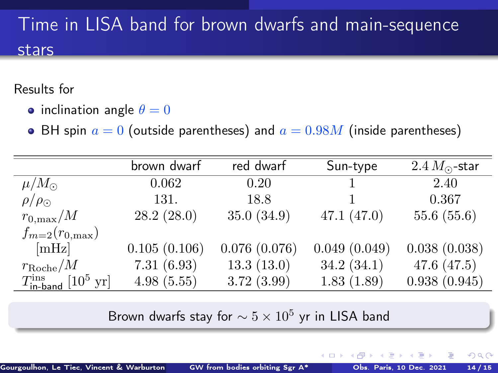# Time in LISA band for brown dwarfs and main-sequence stars

Results for

- inclination angle  $\theta = 0$
- BH spin  $a = 0$  (outside parentheses) and  $a = 0.98M$  (inside parentheses)

|                                                        | brown dwarf  | red dwarf    | Sun-type     | $2.4 M_{\odot}$ -star |
|--------------------------------------------------------|--------------|--------------|--------------|-----------------------|
| $\mu/M_{\odot}$                                        | 0.062        | 0.20         |              | 2.40                  |
| $\rho/\rho_{\odot}$                                    | 131.         | 18.8         |              | 0.367                 |
| $r_{0,\text{max}}/M$                                   | 28.2(28.0)   | 35.0(34.9)   | 47.1(47.0)   | 55.6(55.6)            |
| $f_{m=2}(r_{0,\text{max}})$                            |              |              |              |                       |
| [mHz]                                                  | 0.105(0.106) | 0.076(0.076) | 0.049(0.049) | 0.038(0.038)          |
| $r_{\rm Roche}/M$                                      | 7.31(6.93)   | 13.3(13.0)   | 34.2(34.1)   | 47.6 $(47.5)$         |
| $T_{\text{in-band}}^{\text{ins}}$ [10 <sup>5</sup> yr] | 4.98(5.55)   | 3.72(3.99)   | 1.83(1.89)   | 0.938(0.945)          |
|                                                        |              |              |              |                       |

Brown dwarfs stay for  $\sim 5 \times 10^5$  yr in LISA band